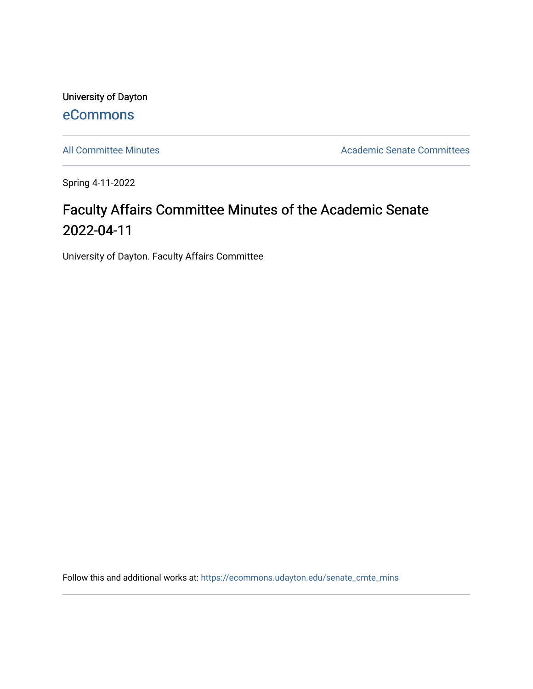University of Dayton [eCommons](https://ecommons.udayton.edu/)

[All Committee Minutes](https://ecommons.udayton.edu/senate_cmte_mins) **Academic Senate Committees** 

Spring 4-11-2022

## Faculty Affairs Committee Minutes of the Academic Senate 2022-04-11

University of Dayton. Faculty Affairs Committee

Follow this and additional works at: [https://ecommons.udayton.edu/senate\\_cmte\\_mins](https://ecommons.udayton.edu/senate_cmte_mins?utm_source=ecommons.udayton.edu%2Fsenate_cmte_mins%2F484&utm_medium=PDF&utm_campaign=PDFCoverPages)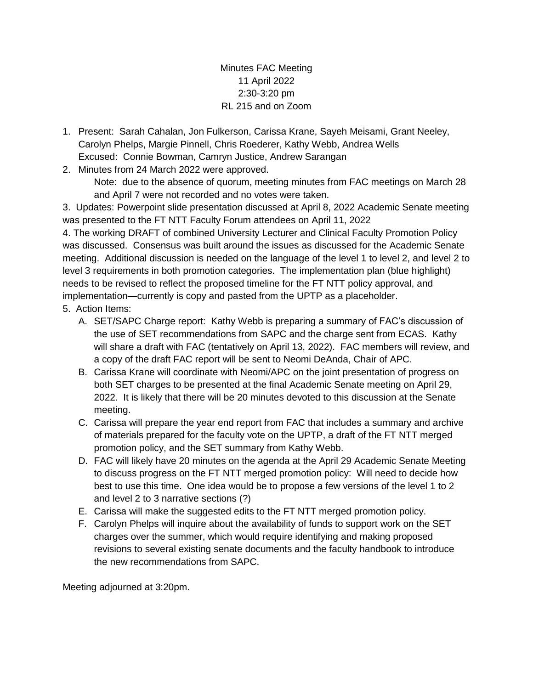Minutes FAC Meeting 11 April 2022 2:30-3:20 pm RL 215 and on Zoom

1. Present: Sarah Cahalan, Jon Fulkerson, Carissa Krane, Sayeh Meisami, Grant Neeley, Carolyn Phelps, Margie Pinnell, Chris Roederer, Kathy Webb, Andrea Wells Excused: Connie Bowman, Camryn Justice, Andrew Sarangan

2. Minutes from 24 March 2022 were approved.

Note: due to the absence of quorum, meeting minutes from FAC meetings on March 28 and April 7 were not recorded and no votes were taken.

3. Updates: Powerpoint slide presentation discussed at April 8, 2022 Academic Senate meeting was presented to the FT NTT Faculty Forum attendees on April 11, 2022

4. The working DRAFT of combined University Lecturer and Clinical Faculty Promotion Policy was discussed. Consensus was built around the issues as discussed for the Academic Senate meeting. Additional discussion is needed on the language of the level 1 to level 2, and level 2 to level 3 requirements in both promotion categories. The implementation plan (blue highlight) needs to be revised to reflect the proposed timeline for the FT NTT policy approval, and implementation—currently is copy and pasted from the UPTP as a placeholder.

- 5. Action Items:
	- A. SET/SAPC Charge report: Kathy Webb is preparing a summary of FAC's discussion of the use of SET recommendations from SAPC and the charge sent from ECAS. Kathy will share a draft with FAC (tentatively on April 13, 2022). FAC members will review, and a copy of the draft FAC report will be sent to Neomi DeAnda, Chair of APC.
	- B. Carissa Krane will coordinate with Neomi/APC on the joint presentation of progress on both SET charges to be presented at the final Academic Senate meeting on April 29, 2022. It is likely that there will be 20 minutes devoted to this discussion at the Senate meeting.
	- C. Carissa will prepare the year end report from FAC that includes a summary and archive of materials prepared for the faculty vote on the UPTP, a draft of the FT NTT merged promotion policy, and the SET summary from Kathy Webb.
	- D. FAC will likely have 20 minutes on the agenda at the April 29 Academic Senate Meeting to discuss progress on the FT NTT merged promotion policy: Will need to decide how best to use this time. One idea would be to propose a few versions of the level 1 to 2 and level 2 to 3 narrative sections (?)
	- E. Carissa will make the suggested edits to the FT NTT merged promotion policy.
	- F. Carolyn Phelps will inquire about the availability of funds to support work on the SET charges over the summer, which would require identifying and making proposed revisions to several existing senate documents and the faculty handbook to introduce the new recommendations from SAPC.

Meeting adjourned at 3:20pm.